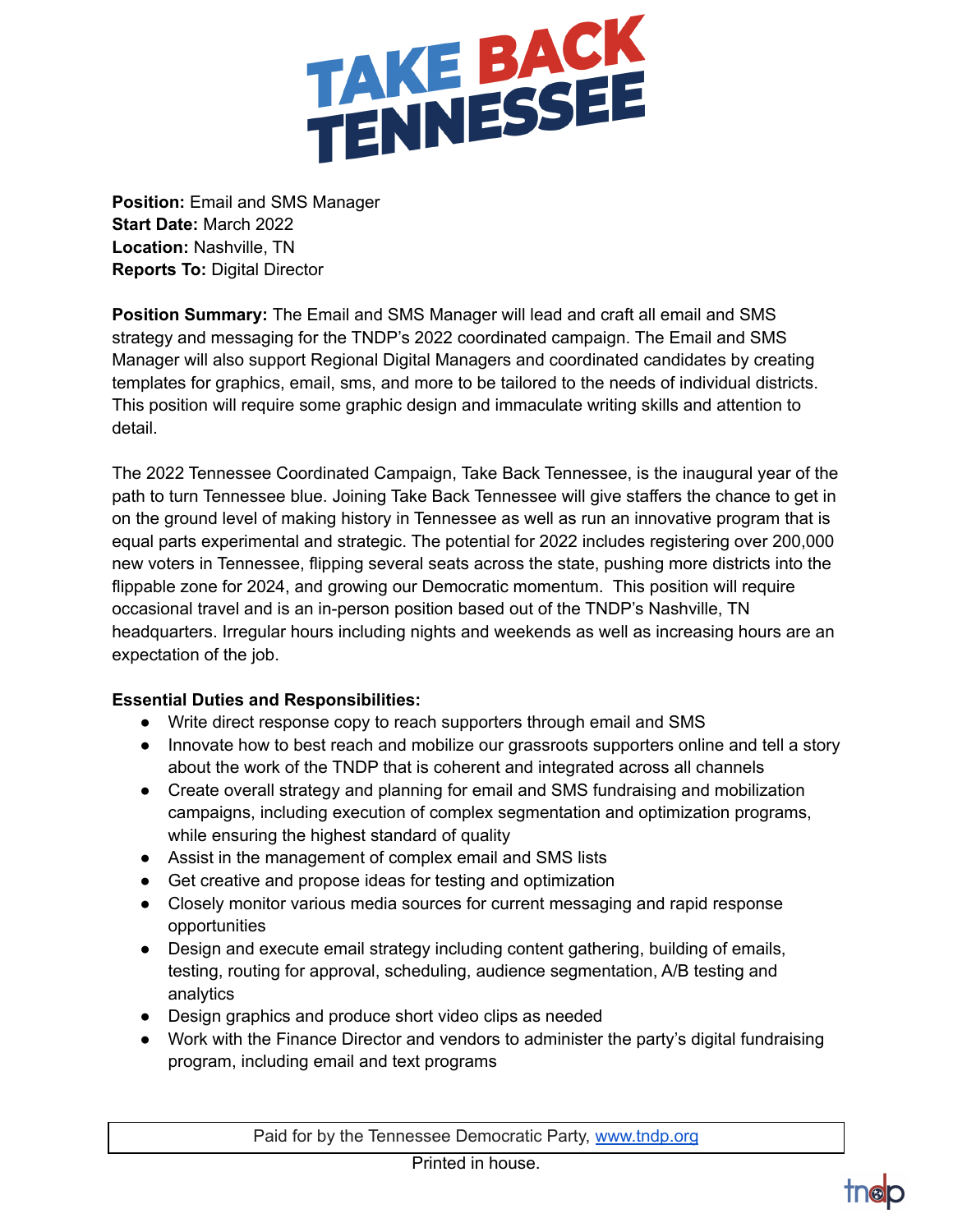

**Position:** Email and SMS Manager **Start Date:** March 2022 **Location:** Nashville, TN **Reports To:** Digital Director

**Position Summary:** The Email and SMS Manager will lead and craft all email and SMS strategy and messaging for the TNDP's 2022 coordinated campaign. The Email and SMS Manager will also support Regional Digital Managers and coordinated candidates by creating templates for graphics, email, sms, and more to be tailored to the needs of individual districts. This position will require some graphic design and immaculate writing skills and attention to detail.

The 2022 Tennessee Coordinated Campaign, Take Back Tennessee, is the inaugural year of the path to turn Tennessee blue. Joining Take Back Tennessee will give staffers the chance to get in on the ground level of making history in Tennessee as well as run an innovative program that is equal parts experimental and strategic. The potential for 2022 includes registering over 200,000 new voters in Tennessee, flipping several seats across the state, pushing more districts into the flippable zone for 2024, and growing our Democratic momentum. This position will require occasional travel and is an in-person position based out of the TNDP's Nashville, TN headquarters. Irregular hours including nights and weekends as well as increasing hours are an expectation of the job.

## **Essential Duties and Responsibilities:**

- Write direct response copy to reach supporters through email and SMS
- Innovate how to best reach and mobilize our grassroots supporters online and tell a story about the work of the TNDP that is coherent and integrated across all channels
- Create overall strategy and planning for email and SMS fundraising and mobilization campaigns, including execution of complex segmentation and optimization programs, while ensuring the highest standard of quality
- Assist in the management of complex email and SMS lists
- Get creative and propose ideas for testing and optimization
- Closely monitor various media sources for current messaging and rapid response opportunities
- Design and execute email strategy including content gathering, building of emails, testing, routing for approval, scheduling, audience segmentation, A/B testing and analytics
- Design graphics and produce short video clips as needed
- Work with the Finance Director and vendors to administer the party's digital fundraising program, including email and text programs

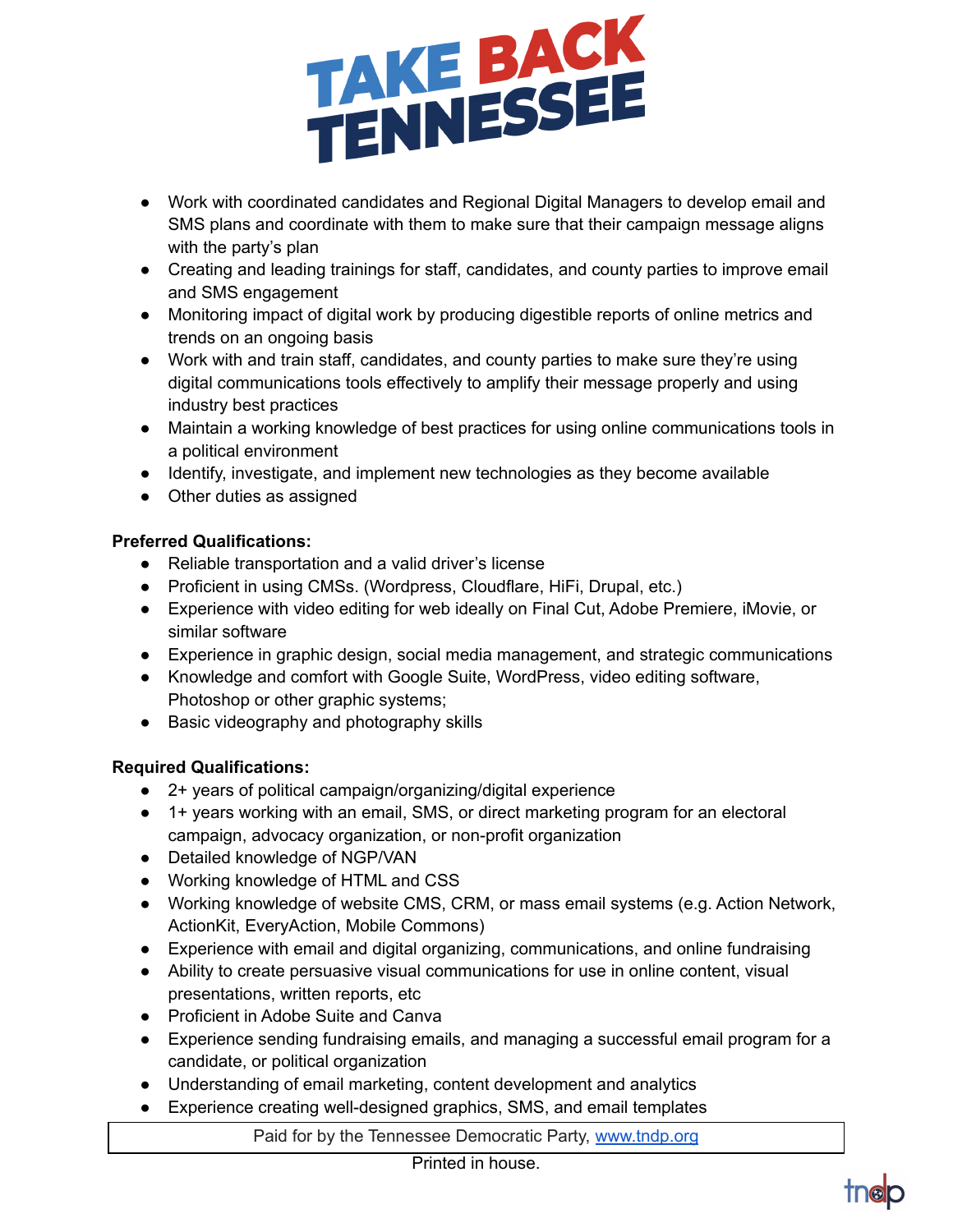

- Work with coordinated candidates and Regional Digital Managers to develop email and SMS plans and coordinate with them to make sure that their campaign message aligns with the party's plan
- Creating and leading trainings for staff, candidates, and county parties to improve email and SMS engagement
- Monitoring impact of digital work by producing digestible reports of online metrics and trends on an ongoing basis
- Work with and train staff, candidates, and county parties to make sure they're using digital communications tools effectively to amplify their message properly and using industry best practices
- Maintain a working knowledge of best practices for using online communications tools in a political environment
- Identify, investigate, and implement new technologies as they become available
- Other duties as assigned

## **Preferred Qualifications:**

- Reliable transportation and a valid driver's license
- Proficient in using CMSs. (Wordpress, Cloudflare, HiFi, Drupal, etc.)
- Experience with video editing for web ideally on Final Cut, Adobe Premiere, iMovie, or similar software
- Experience in graphic design, social media management, and strategic communications
- Knowledge and comfort with Google Suite, WordPress, video editing software, Photoshop or other graphic systems;
- Basic videography and photography skills

## **Required Qualifications:**

- 2+ years of political campaign/organizing/digital experience
- 1+ years working with an email, SMS, or direct marketing program for an electoral campaign, advocacy organization, or non-profit organization
- Detailed knowledge of NGP/VAN
- Working knowledge of HTML and CSS
- Working knowledge of website CMS, CRM, or mass email systems (e.g. Action Network, ActionKit, EveryAction, Mobile Commons)
- Experience with email and digital organizing, communications, and online fundraising
- Ability to create persuasive visual communications for use in online content, visual presentations, written reports, etc
- Proficient in Adobe Suite and Canva
- Experience sending fundraising emails, and managing a successful email program for a candidate, or political organization
- Understanding of email marketing, content development and analytics
- Experience creating well-designed graphics, SMS, and email templates

Paid for by the Tennessee Democratic Party, [www.tndp.org](http://www.tndp.org/)